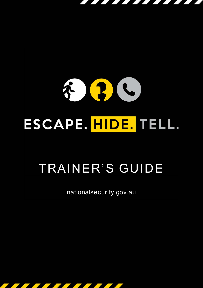## $\mathbf{R}$  $\epsilon$ 3 ESCAPE. HIDE. TELL.

# TRAINER'S GUIDE

nationalsecurity.gov.au

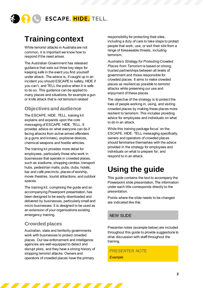

### **Training context**

While terrorist attacks in Australia are not common, it is important we know how to respond if the need arises.

The Australian Government has released guidance that sets out three key steps for keeping safe in the event you find yourself under attack. The advice is, if caught up in an incident you should ESCAPE to safety, HIDE if you can't, and TELL the police when it is safe to do so. This guidance can be applied to many places and situations, for example a gun or knife attack that is not terrorism related

#### **Objectives and audience**

The ESCAPE. HIDE. TELL. training kit explains and expands upon the core messaging of ESCAPE. HIDE. TELL. It provides advice on what everyone can do if facing attacks from active armed offenders (e.g guns and knives), explosive devices, chemical weapons and hostile vehicles.

The training kit provides more detail for employees, particularly those who work in businesses that operate in crowded places, such as stadiums, shopping centres, transport hubs, pedestrian malls, pubs, clubs, hotels, bar and café precincts, places of worship, movie theatres, tourist attractions, and outdoor spaces.

The training kit, comprising the guide and an accompanying Powerpoint presentation, has been designed to be easily downloaded and delivered by businesses, particularly small and micro businesses. It is designed to be used as an extension of your organisations existing emergency training.

#### **Crowded places**

Australian, state and territority governments work with businesses to protect crowded places. Our law enforcement and intelligence agencies are well-equipped to detect and disrupt plots, and they have a strong history of stopping terrorist attacks. Owners and operators of crowded places have the primary

,,,,,,,,,,,,,,,,,,,,,,,,

responsibility for protecting their sites, including a duty of care to take steps to protect people that work, use, or visit their site from a range of foreseeable threats, including terrorism.

*Australia's Strategy for Protecting Crowded Places from Terrorism* is based on strong, trusted partnerships between all levels of government and those responsible for crowded places. It aims to make crowded places as resilient as possible to terrorist attacks while preserving our use and enjoyment of these places.

The objective of the strategy is to protect the lives of people working in, using, and visiting crowded places by making these places more resilient to terrorism. This includes providing advice for employees and individuals on what to do in an attack.

While this training package focus' on the ESCAPE. HIDE. TELL messaging specifically, owners and operators of crowded places should familiarise themselves with the advice provided in the strategy for employees and individuals on what to prepare for, and respond to in an attack.

### **Using the guide**

This guide contains the text to accompany the Powerpoint slide presentation, The information under each title corresponds directly to the presentation.

Points where the slide needs to be changed are indicated like this:

#### NEW SLIDE

Presenter notes (example below) are included throughout this guide to provide suggestions to drive discussion with staff throughout the training.

PRESENTER NOTE *Example*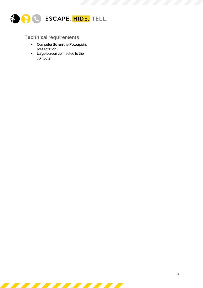

#### **Technical requirements**

- Computer (to run the Powerpoint presentation)
- Large screen connected to the computer

<u> Tantara Maria Barat da Barat da Barat da Barat da Barat da Barat da Barat da Barat da Barat da Barat da Barat </u>

 $\mathcal{L}$ 

**STATE** 

**Contract Contract Contract Contract**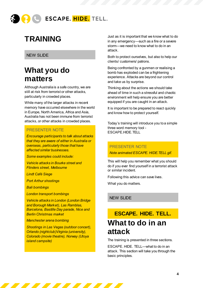

### **TRAINING**

#### NEW SLIDE

### **What you do matters**

Although Australia is a safe country, we are still at risk from terrorist or other attacks, particularly in crowded places.

While many of the larger attacks in recent memory have occurred elsewhere in the world in Europe, North America, Africa and Asia, Australia has not been immune from terrorist attacks, or other attacks in crowded places.

#### PRESENTER NOTE gather such as sta

shopping centres, transport hubs, pedestrian malls, pubs, clubs, hotels, bar and café *Encourage participants to talk about attacks that they are aware of either in Australia or overseas, particularly those that have*  $\overline{\phantom{a}}$ affected similar businesses. Who would be a f

**Some examples could include:** 

*Vehicle attacks in Bourke street and Flinders street, Melbourne*

*Lindt Café Siege*

*Port Arthur shootings*

*Bali bombings*

*London transport bombings*

*Vehicle attacks in London (London Bridge and Borough Market), Las Ramblas, Barcelona, Bastille Day parade, Nice and Berlin Christmas market*

*Manchester arena bombing*

*Shootings in Las Vegas (outdoor concert), Orlando (nightclub)Virginia (university), Colorado (movie theatre), Norway (Utoya island campsite)*

77 77 77 77 77 77 77 77 7

Just as it is important that we know what to do in any emergency—such as a fire or a severe storm—we need to know what to do in an attack.

Both to protect ourselves, but also to help our clients/ customers/ patrons.

Being confronted by a gunmen or realising a bomb has exploded can be a frightening experience. Attacks are beyond our control and take us by surprise.

Thinking about the actions we should take ahead of time in such a stressful and chaotic environment will help ensure you are better equipped if you are caught in an attack.

It is important to be prepared to react quickly and know how to protect yourself.

Today's training will introduce you to a simple three word memory tool - ESCAPE.HIDE.TELL

#### PRESENTER NOTE

*Note animated ESCAPE. HIDE.TELL gif.* 

This will help you remember what you should do if you ever find yourself in a terrorist attack or similar incident.

Following this advice can save lives.

What you do matters.

#### NEW SLIDE

### **ESCAPE. HIDE. TELL. What to do in an attack**

The training is presented in three sections.

ESCAPE. HIDE. TELL—what to do in an attack. This section will take you through the basic principles.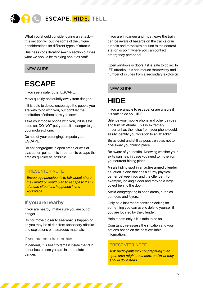

What you should consider during an attack this section will outline some of the unique considerations for different types of attacks.

Business considerations—this section outlines what we should be thinking about as staff.

#### NEW SLIDE

### **ESCAPE**

If you see a safe route, ESCAPE.

Move quickly and quietly away from danger.

If it is safe to do so, encourage the people you are with to go with you, but don't let the hesitation of others slow you down.

Take your mobile phone with you, if it is safe to do so. DO NOT put yourself in danger to get your mobile phone.

Do not let your belongings impede your ESCAPE.

Do not congregate in open areas or wait at evacuation points. It is important to escape the area as quickly as possible.

#### PRESENTER NOTE

*Encourage participants to talk about where they would or would plan to escape to if any of these situations happened in the workplace.*

#### **If you are nearby**

If you are nearby, make sure you are out of danger.

Do not move closer to see what is happening as you may be at risk from secondary attacks and explosions or hazardous materials.

#### If you are on a train or bus

In general, it is best to remain inside the train car or bus unless you are in immediate danger.

<u>The Communication of the Communication of the Communication of the Communication of the Communication of the Co</u>

If you are in danger and must leave the train car, be aware of hazards on the tracks or in tunnels and move with caution to the nearest station or point where you can contact emergency personnel.

Open windows or doors if it is safe to do so. In IED attacks, this can reduce the severity and number of injuries from a secondary explosion.

#### NEW SLIDE

### **HIDE**

If you are unable to escape, or are unsure if it's safe to do so, HIDE.

Silence your mobile phone and other devices and turn off vibrate. This is extremely important as the noise from your phone could easily identify your location to an attacker.

Be as quiet and still as possible so as not to give away your hiding place.

Be aware of your exits. Knowing whether your exits can help in case you need to move from your current hiding place.

A safe hiding spot in an active armed offender situation is one that has a sturdy physical barrier between you and the offender. For example, locking a door and moving a large object behind the door.

Avoid congregating in open areas, such as corridors and foyers.

Only as a last resort consider looking for something you can use to defend yourself if you are located by the offender.

Help others only if it is safe to do so

Constantly re-assess the situation and your options based on the best available information.

#### PRESENTER NOTE

*Ask participants why congregating in an open area might be unsafe, and what they should do instead.*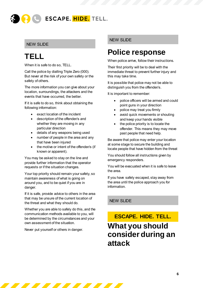

#### NEW SLIDE

### **TELL**

When it is safe to do so, TELL.

Call the police by dialling Triple Zero (000). But never at the risk of your own safety or the safety of others.

The more information you can give about your location, surroundings, the attackers and the events that have occurred, the better.

If it is safe to do so, think about obtaining the following information:

- exact location of the incident
- description of the offender/s and whether they are moving in any particular direction
- details of any weapons being used
- number of people in the area and any that have been injured
- the motive or intent of the offender/s (if known or apparent).

You may be asked to stay on the line and provide further information that the operator requests or if the situation changes.

Your top priority should remain your safety, so maintain awareness of what is going on around you, and to be quiet if you are in danger.

If it is safe, provide advice to others in the area that may be unsure of the current location of the threat and what they should do.

Whether you are able to safely do this, and the communication methods available to you, will be determined by the circumstances and your own assessment of the situation.

Never put yourself or others in danger.

#### NEW SLIDE

### **Police response**

When police arrive, follow their instructions.

Their first priority will be to deal with the immediate threat to prevent further injury and this may take time.

It is possible that police may not be able to distinguish you from the offender/s.

It is important to remember:

- police officers will be armed and could point guns in your direction
- police may treat you firmly
- avoid quick movements or shouting and keep your hands visible
- the police priority is to locate the offender. This means they may move past people that need help.

Be aware that police may enter your location at some stage to secure the building and locate people that have hidden from the threat

You should follow all instructions given by emergency responders.

You will be evacuated when it is safe to leave the area.

If you have safely escaped, stay away from the area until the police approach you for information.

#### NEW SLIDE

### **ESCAPE. HIDE. TELL. What you should consider during an attack**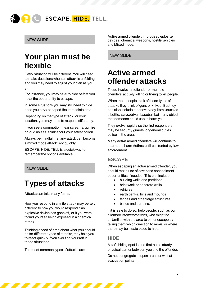

#### NEW SLIDE

### **Your plan must be flexible**

Every situation will be different. You will need to make decisions when an attack is unfolding and you may need to adjust your plan as you go.

For instance, you may have to hide before you have the opportunity to escape.

In some situations you may still need to hide once you have escaped the immediate area.

Depending on the type of attack, or your location, you may need to respond differently.

If you see a commotion, hear screams, gunfire or loud noises, think about your safest option.

Always be mindful that any attack can become a mixed mode attack very quickly.

ESCAPE. HIDE. TELL is a quick way to remember the options available.

#### NEW SLIDE

### **Types of attacks**

Attacks can take many forms.

How you respond in a knife attack may be very different to how you would respond if an explosive device has gone off, or if you were to find yourself being exposed in a chemical attack.

Thinking ahead of time about what you should do for different types of attacks, may help you to react quickly if you ever find yourself in these situations.

The most common types of attacks are:

<u> Tantara Maria Barat da Barat da Barat da Barat da Barat da Barat da Barat da Barat da Barat da Barat da Barat </u>

Active armed offender, improvised eplosive devices, chemical weapons, hostile vehicles and Mixed mode.

NEW SLIDE

### **Active armed offender attacks**

These involve an offender or multiple offenders actively killing or trying to kill people.

When most people think of these types of attacks they think of guns or knives. But they can also include other everyday items such as a bottle, screwdriver, baseball bat—any object that someone could use to harm you.

They evolve rapidly so the first responders may be security guards, or general duties police in the area.

Many active armed offenders will continue to attempt to harm victims until confronted by law enforcement.

#### **ESCAPE**

When escaping an active armed offender, you should make use of cover and concealment opportunities if needed. This can include:

- building walls and partitions
- brickwork or concrete walls
- vehicles
- earth banks, hills and mounds
- fences and other large structures
- blinds and curtains.

If it is safe to do so, help people, such as our clients/customers/patrons, who might be unfamiliar with the area to either escape by telling them which direction to move, or where there may be a safe place to hide.

#### **HIDE**

A safe hiding spot is one that has a sturdy physical barrier between you and the offender.

Do not congregate in open areas or wait at evacuation points.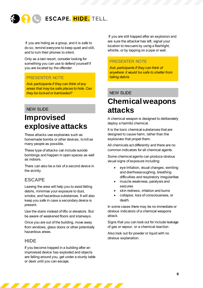

If you are hiding as a group, and it is safe to do so, remind everyone to keep quiet and still, and to turn their phones to silent.

Only as a last resort, consider looking for something you can use to defend yourself if you are located by the offender.

#### PRESENTER NOTE

*Ask participants if they can think of any areas that may be safe places to hide. Can they be locked or barricaded?*

#### NEW SLIDE

### **Improvised explosive attacks**

These attacks use explosives such as homemade bombs or other devices, to kill as many people as possible.

These type of attacks can include suicide bombings and happen in open spaces as well as indoors.

There can also be a risk of a second device in the vicinity.

#### **ESCAPE**

Leaving the area will help you to avoid falling debris, minimise your exposure to dust, smoke, and hazardous substances. It will also keep you safe in case a secondary device is present.

Use the stairs instead of lifts or elevators. But be aware of weakened floors and stairways.

Once you are out of the building, move away from windows, glass doors or other potentially hazardous areas.

#### **HIDE**

If you become trapped in a building after an improvised device has exploded and objects are falling around you, get under a sturdy table or desk until you can escape.

77 77 77 77 77 77 7

If you are still trapped after an explosion and are sure the attacker has left, signal your location to rescuers by using a flashlight, whistle, or by tapping on a pipe or wall.

#### PRESENTER NOTE

*Ask participants if they can think of anywhere it would be safe to shelter from falling debris*

#### NEW SLIDE

### **Chemical weapons attacks**

A chemical weapon is designed to deliberately deploy a harmful chemical.

It is the toxic chemical substances that are designed to cause harm, rather than the explosives that propel them.

All chemicals act differently and there are no common indicators for all chemical agents.

Some chemical agents can produce obvious visual signs of exposure including:

- eye irritation, visual changes, vomiting and diarrhoeacoughing, breathing difficulties and respiratory irregularities
- muscle weakness, paralysis and seizures
- skin redness, irritation and burns
- collapse, loss of consciousness, or death.

In some cases there may be no immediate or obvious indicators of a chemical weapons attack.

Signs that you can look out for include leakage of gas or vapour, or a chemical reaction

Also look out for powder or liquid with no obvious explanation.

**Contract Contract Contract Contract**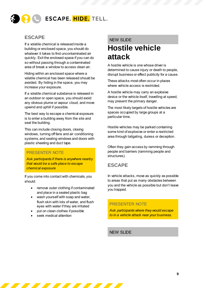

#### **ESCAPE**

If a volatile chemical is released inside a building or enclosed space, you should do whatever it takes to find uncontaminated air quickly. Exit the enclosed space if you can do so without passing through a contaminated area of break a window to access clean air.

Hiding within an enclosed space where a volatile chemical has been released should be avoided. By hiding in the space, you may increase your exposure.

If a volatile chemical substance is released in an outdoor or open space, you should avoid any obvious plume or vapour cloud, and move upwind and uphill if possible.

The best way to escape a chemical exposure is to enter a building away from the site and seal the building.

This can include closing doors, closing windows, turning off fans and air conditioning systems, and sealing windows and doors with plastic sheeting and duct tape.

#### PRESENTER NOTE

*Ask participants if there is anywhere nearby that would be a safe place to escape chemical exposure*

If you come into contact with chemicals, you should:

- remove outer clothing if contaminated and place in a sealed plastic bag
- wash yourself with soap and water, flush skin with lots of water, and flush eyes with water if they are irritated
- put on clean clothes if possible

<u>The Theodore and the Theodore and the Theodore and the Theodore and the Theodore and the Theodore and the Theodore and the Theodore and the Theodore and the Theodore and the Theodore and the Theodore and the Theodore and </u>

seek medical attention

#### NEW SLIDE

### **Hostile vehicle attack**

A hostile vehicle is one whose driver is determined to cause injury or death to people, disrupt business or effect publicity for a cause.

These attacks most often occur in places where vehicle access is restricted.

A hostile vehicle may carry an explosive device or the vehicle itself, travelling at speed, may present the primary danger.

The most likely targets of hostile vehicles are spaces occupied by large groups at a particular time.

Hostile vehicles may be parked containing some kind of explosive or enter a restricted area through tailgating, duress or deception.

Often they gain access by ramming through people and barriers (ramming people and structures).

#### **ESCAPE**

In vehicle attacks, move as quickly as possible to areas that put as many obstacles between you and the vehicle as possible but don't leave you trapped.

#### PRESENTER NOTE

*Ask participants where they would escape to in a vehicle attack near your business.*

NEW SLIDE

**START**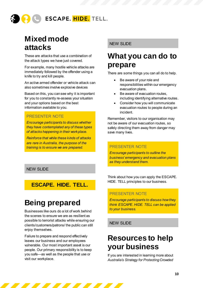

### **Mixed mode attacks**

These are attacks that use a combination of the attack types we have just covered.

For example, many hostile vehicle attacks are immediately followed by the offender using a knife to try and kill people.

An active armed offender or vehicle attack can also sometimes involve explosive devices

Based on this, you can see why it is important for you to constantly re-assess your situation and your options based on the best information available to you.

#### PRESENTER NOTE

*Encourage participants to discuss whether they have contemplated any of these types of attacks happening in their workplace.*

*Reinforce that while these kinds of attacks are rare in Australia, the purpose of the training is to ensure we are prepared.*

#### NEW SLIDE

#### **ESCAPE. HIDE. TELL.**

### **Being prepared**

Businesses like ours do a lot of work behind the scenes to ensure we are as resilient as possible to terrorist attacks while ensuring our clients/customers/patrons/ the public can still enjoy themselves.

Failure to prepare and respond effectively leaves our business and our employees vulnerable. Our most important asset is our people. Our primary responsibility is to keep you safe—as well as the people that use or visit our workplace.

<u>Ta kasana ay katalog asala sa sa sa sa sa barang ang kasana ay kasana ay kasana ay kasana ay kasana ay kasana </u>

#### NEW SLIDE

### **What you can do to prepare**

There are some things you can all do to help.

- Be aware of your role and responsibilities within our emergency evacuation plans.
- Be aware of evacuation routes, including identifying alternative routes.
- Consider how you will communicate evacuation routes to people during an incident.

Remember, visitors to our organisation may not be aware of our evacuation routes, so safely directing them away from danger may save many lives.

#### PRESENTER NOTE

*Encourage participants to outline the business' emergency and evacuation plans as they understand them.*

Think about how you can apply the ESCAPE. HIDE. TELL principles to our business.

#### PRESENTER NOTE

*Encourage participants to discuss how they think ESCAPE. HIDE. TELL can be applied to your business.* 

NEW SLIDE

### **Resources to help your business**

If you are interested in learning more about *Australia's Strategy for Protecting Crowded*